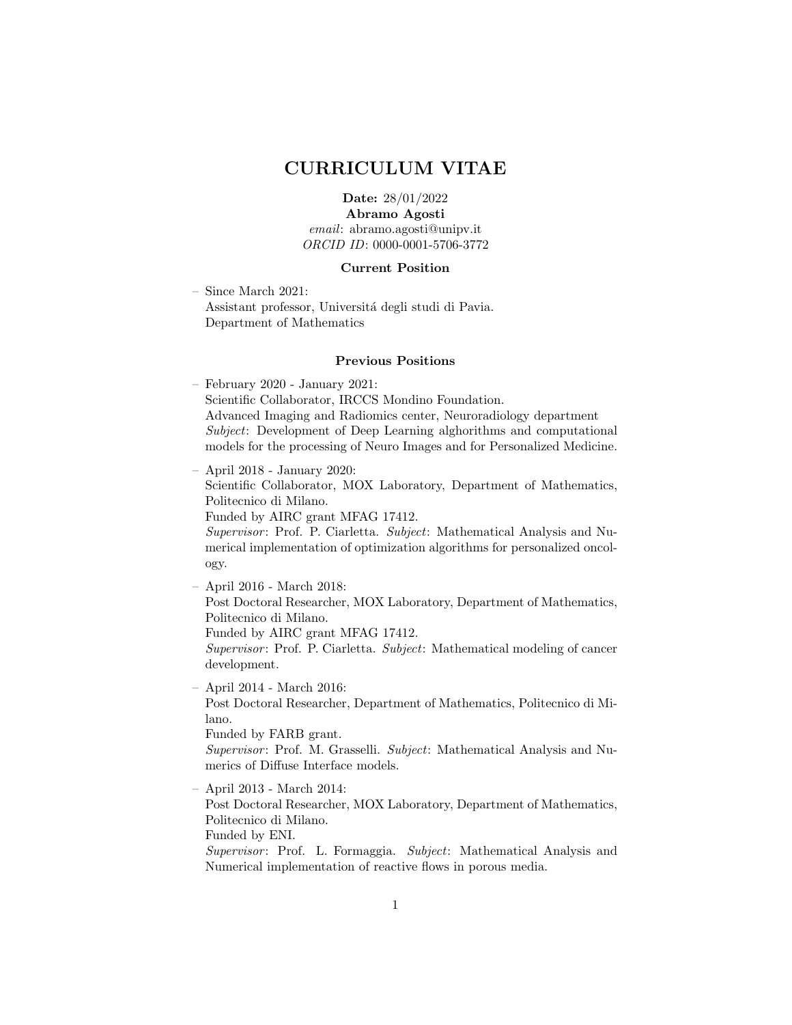# CURRICULUM VITAE

Date: 28/01/2022

Abramo Agosti email: abramo.agosti@unipv.it ORCID ID: 0000-0001-5706-3772

# Current Position

– Since March 2021: Assistant professor, Universitá degli studi di Pavia. Department of Mathematics

# Previous Positions

- February 2020 January 2021: Scientific Collaborator, IRCCS Mondino Foundation. Advanced Imaging and Radiomics center, Neuroradiology department Subject: Development of Deep Learning alghorithms and computational models for the processing of Neuro Images and for Personalized Medicine.
- April 2018 January 2020: Scientific Collaborator, MOX Laboratory, Department of Mathematics, Politecnico di Milano. Funded by AIRC grant MFAG 17412.

Supervisor: Prof. P. Ciarletta. Subject: Mathematical Analysis and Numerical implementation of optimization algorithms for personalized oncology.

– April 2016 - March 2018:

Post Doctoral Researcher, MOX Laboratory, Department of Mathematics, Politecnico di Milano.

Funded by AIRC grant MFAG 17412.

Supervisor: Prof. P. Ciarletta. Subject: Mathematical modeling of cancer development.

– April 2014 - March 2016:

Post Doctoral Researcher, Department of Mathematics, Politecnico di Milano.

Funded by FARB grant.

Supervisor: Prof. M. Grasselli. Subject: Mathematical Analysis and Numerics of Diffuse Interface models.

– April 2013 - March 2014:

Post Doctoral Researcher, MOX Laboratory, Department of Mathematics, Politecnico di Milano.

Funded by ENI.

Supervisor: Prof. L. Formaggia. Subject: Mathematical Analysis and Numerical implementation of reactive flows in porous media.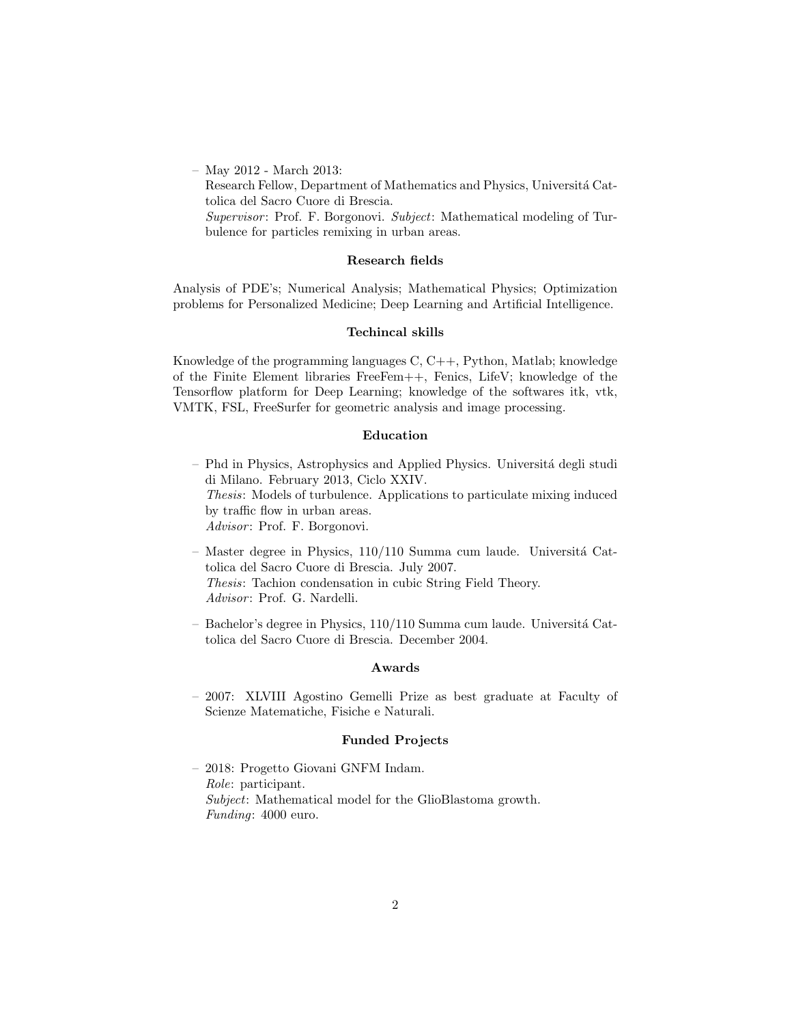– May 2012 - March 2013: Research Fellow, Department of Mathematics and Physics, Universitá Cattolica del Sacro Cuore di Brescia. Supervisor: Prof. F. Borgonovi. Subject: Mathematical modeling of Turbulence for particles remixing in urban areas.

# Research fields

Analysis of PDE's; Numerical Analysis; Mathematical Physics; Optimization problems for Personalized Medicine; Deep Learning and Artificial Intelligence.

## Techincal skills

Knowledge of the programming languages C, C++, Python, Matlab; knowledge of the Finite Element libraries FreeFem++, Fenics, LifeV; knowledge of the Tensorflow platform for Deep Learning; knowledge of the softwares itk, vtk, VMTK, FSL, FreeSurfer for geometric analysis and image processing.

# Education

- Phd in Physics, Astrophysics and Applied Physics. Universit´a degli studi di Milano. February 2013, Ciclo XXIV. Thesis: Models of turbulence. Applications to particulate mixing induced by traffic flow in urban areas. Advisor: Prof. F. Borgonovi.
- $-$  Master degree in Physics,  $110/110$  Summa cum laude. Universitá Cattolica del Sacro Cuore di Brescia. July 2007. Thesis: Tachion condensation in cubic String Field Theory. Advisor: Prof. G. Nardelli.
- $-$  Bachelor's degree in Physics,  $110/110$  Summa cum laude. Universitá Cattolica del Sacro Cuore di Brescia. December 2004.

### Awards

– 2007: XLVIII Agostino Gemelli Prize as best graduate at Faculty of Scienze Matematiche, Fisiche e Naturali.

#### Funded Projects

– 2018: Progetto Giovani GNFM Indam. Role: participant. Subject: Mathematical model for the GlioBlastoma growth. Funding: 4000 euro.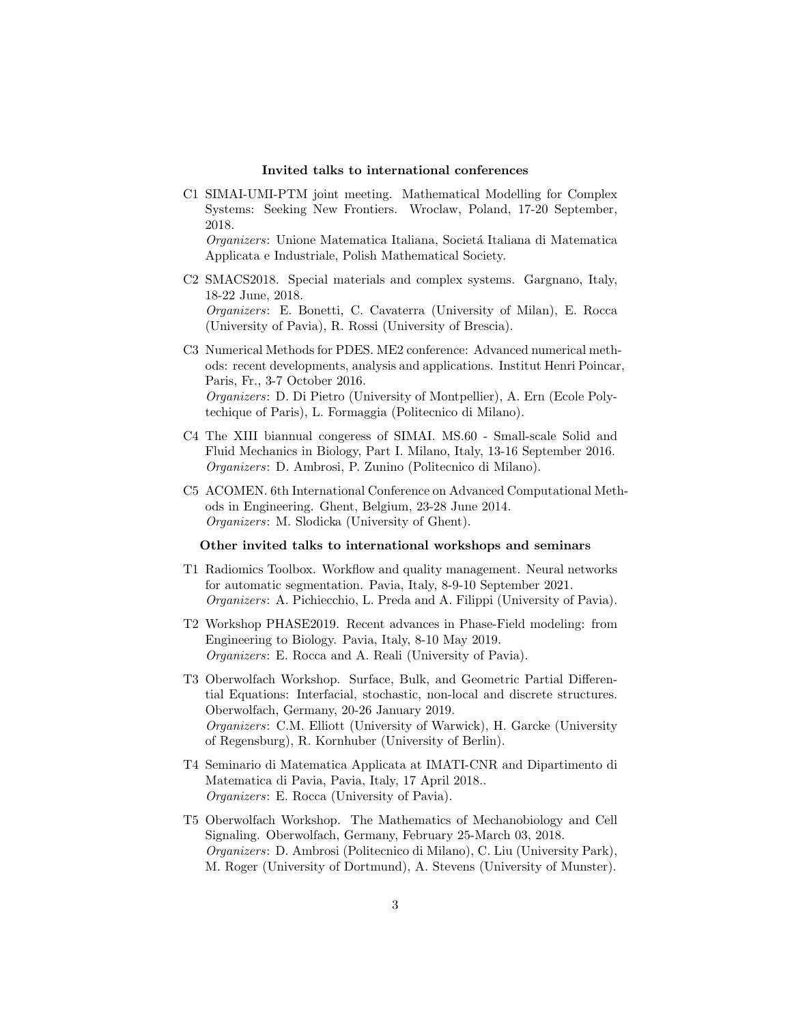#### Invited talks to international conferences

C1 SIMAI-UMI-PTM joint meeting. Mathematical Modelling for Complex Systems: Seeking New Frontiers. Wroclaw, Poland, 17-20 September, 2018.

Organizers: Unione Matematica Italiana, Societá Italiana di Matematica Applicata e Industriale, Polish Mathematical Society.

- C2 SMACS2018. Special materials and complex systems. Gargnano, Italy, 18-22 June, 2018. Organizers: E. Bonetti, C. Cavaterra (University of Milan), E. Rocca (University of Pavia), R. Rossi (University of Brescia).
- C3 Numerical Methods for PDES. ME2 conference: Advanced numerical methods: recent developments, analysis and applications. Institut Henri Poincar, Paris, Fr., 3-7 October 2016. Organizers: D. Di Pietro (University of Montpellier), A. Ern (Ecole Polytechique of Paris), L. Formaggia (Politecnico di Milano).
- C4 The XIII biannual congeress of SIMAI. MS.60 Small-scale Solid and Fluid Mechanics in Biology, Part I. Milano, Italy, 13-16 September 2016. Organizers: D. Ambrosi, P. Zunino (Politecnico di Milano).
- C5 ACOMEN. 6th International Conference on Advanced Computational Methods in Engineering. Ghent, Belgium, 23-28 June 2014. Organizers: M. Slodicka (University of Ghent).

# Other invited talks to international workshops and seminars

- T1 Radiomics Toolbox. Workflow and quality management. Neural networks for automatic segmentation. Pavia, Italy, 8-9-10 September 2021. Organizers: A. Pichiecchio, L. Preda and A. Filippi (University of Pavia).
- T2 Workshop PHASE2019. Recent advances in Phase-Field modeling: from Engineering to Biology. Pavia, Italy, 8-10 May 2019. Organizers: E. Rocca and A. Reali (University of Pavia).
- T3 Oberwolfach Workshop. Surface, Bulk, and Geometric Partial Differential Equations: Interfacial, stochastic, non-local and discrete structures. Oberwolfach, Germany, 20-26 January 2019. Organizers: C.M. Elliott (University of Warwick), H. Garcke (University of Regensburg), R. Kornhuber (University of Berlin).
- T4 Seminario di Matematica Applicata at IMATI-CNR and Dipartimento di Matematica di Pavia, Pavia, Italy, 17 April 2018.. Organizers: E. Rocca (University of Pavia).
- T5 Oberwolfach Workshop. The Mathematics of Mechanobiology and Cell Signaling. Oberwolfach, Germany, February 25-March 03, 2018. Organizers: D. Ambrosi (Politecnico di Milano), C. Liu (University Park), M. Roger (University of Dortmund), A. Stevens (University of Munster).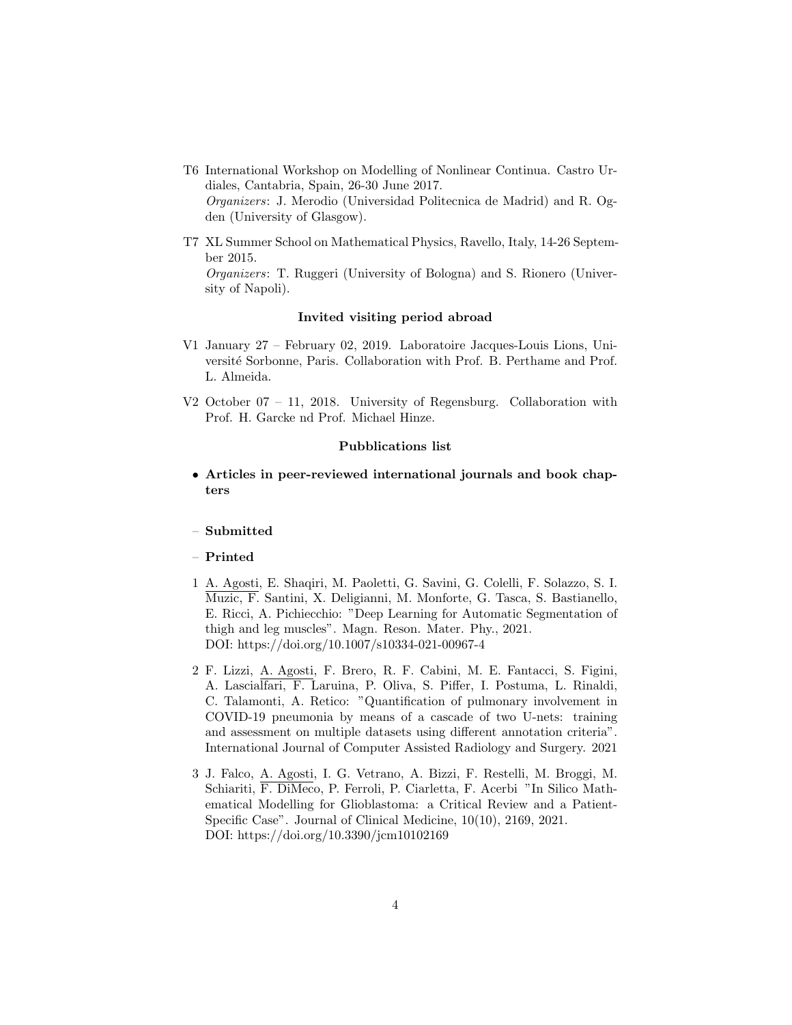- T6 International Workshop on Modelling of Nonlinear Continua. Castro Urdiales, Cantabria, Spain, 26-30 June 2017. Organizers: J. Merodio (Universidad Politecnica de Madrid) and R. Ogden (University of Glasgow).
- T7 XL Summer School on Mathematical Physics, Ravello, Italy, 14-26 September 2015. Organizers: T. Ruggeri (University of Bologna) and S. Rionero (University of Napoli).

#### Invited visiting period abroad

- V1 January 27 February 02, 2019. Laboratoire Jacques-Louis Lions, Université Sorbonne, Paris. Collaboration with Prof. B. Perthame and Prof. L. Almeida.
- V2 October  $07 11$ , 2018. University of Regensburg. Collaboration with Prof. H. Garcke nd Prof. Michael Hinze.

## Pubblications list

• Articles in peer-reviewed international journals and book chapters

# – Submitted

- Printed
- 1 A. Agosti, E. Shaqiri, M. Paoletti, G. Savini, G. Colelli, F. Solazzo, S. I. Muzic, F. Santini, X. Deligianni, M. Monforte, G. Tasca, S. Bastianello, E. Ricci, A. Pichiecchio: "Deep Learning for Automatic Segmentation of thigh and leg muscles". Magn. Reson. Mater. Phy., 2021. DOI: https://doi.org/10.1007/s10334-021-00967-4
- 2 F. Lizzi, A. Agosti, F. Brero, R. F. Cabini, M. E. Fantacci, S. Figini, A. Lascialfari, F. Laruina, P. Oliva, S. Piffer, I. Postuma, L. Rinaldi, C. Talamonti, A. Retico: "Quantification of pulmonary involvement in COVID-19 pneumonia by means of a cascade of two U-nets: training and assessment on multiple datasets using different annotation criteria". International Journal of Computer Assisted Radiology and Surgery. 2021
- 3 J. Falco, A. Agosti, I. G. Vetrano, A. Bizzi, F. Restelli, M. Broggi, M. Schiariti, F. DiMeco, P. Ferroli, P. Ciarletta, F. Acerbi "In Silico Mathematical Modelling for Glioblastoma: a Critical Review and a Patient-Specific Case". Journal of Clinical Medicine, 10(10), 2169, 2021. DOI: https://doi.org/10.3390/jcm10102169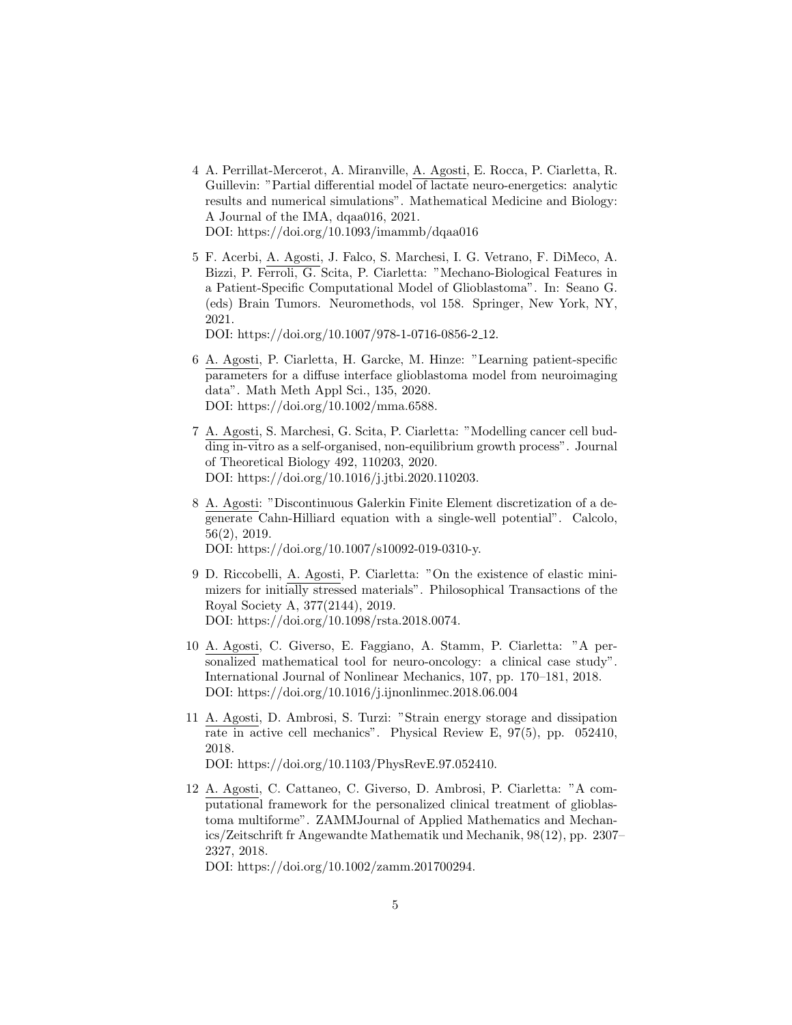- 4 A. Perrillat-Mercerot, A. Miranville, A. Agosti, E. Rocca, P. Ciarletta, R. Guillevin: "Partial differential model of lactate neuro-energetics: analytic results and numerical simulations". Mathematical Medicine and Biology: A Journal of the IMA, dqaa016, 2021. DOI: https://doi.org/10.1093/imammb/dqaa016
- 5 F. Acerbi, A. Agosti, J. Falco, S. Marchesi, I. G. Vetrano, F. DiMeco, A. Bizzi, P. Ferroli, G. Scita, P. Ciarletta: "Mechano-Biological Features in a Patient-Specific Computational Model of Glioblastoma". In: Seano G. (eds) Brain Tumors. Neuromethods, vol 158. Springer, New York, NY, 2021.

DOI: https://doi.org/10.1007/978-1-0716-0856-2 12.

- 6 A. Agosti, P. Ciarletta, H. Garcke, M. Hinze: "Learning patient-specific parameters for a diffuse interface glioblastoma model from neuroimaging data". Math Meth Appl Sci., 135, 2020. DOI: https://doi.org/10.1002/mma.6588.
- 7 A. Agosti, S. Marchesi, G. Scita, P. Ciarletta: "Modelling cancer cell budding in-vitro as a self-organised, non-equilibrium growth process". Journal of Theoretical Biology 492, 110203, 2020. DOI: https://doi.org/10.1016/j.jtbi.2020.110203.
- 8 A. Agosti: "Discontinuous Galerkin Finite Element discretization of a degenerate Cahn-Hilliard equation with a single-well potential". Calcolo, 56(2), 2019.

DOI: https://doi.org/10.1007/s10092-019-0310-y.

- 9 D. Riccobelli, A. Agosti, P. Ciarletta: "On the existence of elastic minimizers for initially stressed materials". Philosophical Transactions of the Royal Society A, 377(2144), 2019. DOI: https://doi.org/10.1098/rsta.2018.0074.
- 10 A. Agosti, C. Giverso, E. Faggiano, A. Stamm, P. Ciarletta: "A personalized mathematical tool for neuro-oncology: a clinical case study". International Journal of Nonlinear Mechanics, 107, pp. 170–181, 2018. DOI: https://doi.org/10.1016/j.ijnonlinmec.2018.06.004
- 11 A. Agosti, D. Ambrosi, S. Turzi: "Strain energy storage and dissipation rate in active cell mechanics". Physical Review E, 97(5), pp. 052410, 2018.

DOI: https://doi.org/10.1103/PhysRevE.97.052410.

12 A. Agosti, C. Cattaneo, C. Giverso, D. Ambrosi, P. Ciarletta: "A computational framework for the personalized clinical treatment of glioblastoma multiforme". ZAMMJournal of Applied Mathematics and Mechanics/Zeitschrift fr Angewandte Mathematik und Mechanik, 98(12), pp. 2307– 2327, 2018.

DOI: https://doi.org/10.1002/zamm.201700294.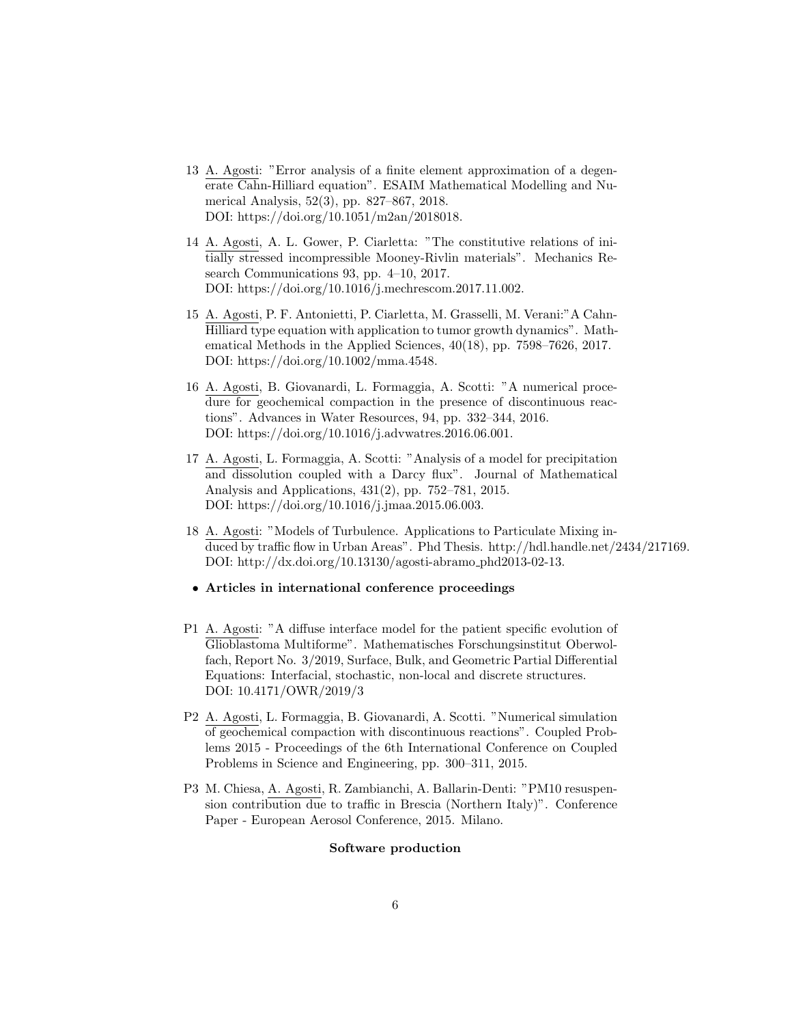- 13 A. Agosti: "Error analysis of a finite element approximation of a degenerate Cahn-Hilliard equation". ESAIM Mathematical Modelling and Numerical Analysis, 52(3), pp. 827–867, 2018. DOI: https://doi.org/10.1051/m2an/2018018.
- 14 A. Agosti, A. L. Gower, P. Ciarletta: "The constitutive relations of initially stressed incompressible Mooney-Rivlin materials". Mechanics Research Communications 93, pp. 4–10, 2017. DOI: https://doi.org/10.1016/j.mechrescom.2017.11.002.
- 15 A. Agosti, P. F. Antonietti, P. Ciarletta, M. Grasselli, M. Verani:"A Cahn-Hilliard type equation with application to tumor growth dynamics". Mathematical Methods in the Applied Sciences, 40(18), pp. 7598–7626, 2017. DOI: https://doi.org/10.1002/mma.4548.
- 16 A. Agosti, B. Giovanardi, L. Formaggia, A. Scotti: "A numerical procedure for geochemical compaction in the presence of discontinuous reactions". Advances in Water Resources, 94, pp. 332–344, 2016. DOI: https://doi.org/10.1016/j.advwatres.2016.06.001.
- 17 A. Agosti, L. Formaggia, A. Scotti: "Analysis of a model for precipitation and dissolution coupled with a Darcy flux". Journal of Mathematical Analysis and Applications, 431(2), pp. 752–781, 2015. DOI: https://doi.org/10.1016/j.jmaa.2015.06.003.
- 18 A. Agosti: "Models of Turbulence. Applications to Particulate Mixing induced by traffic flow in Urban Areas". Phd Thesis. http://hdl.handle.net/2434/217169. DOI: http://dx.doi.org/10.13130/agosti-abramo phd2013-02-13.
- Articles in international conference proceedings
- P1 A. Agosti: "A diffuse interface model for the patient specific evolution of Glioblastoma Multiforme". Mathematisches Forschungsinstitut Oberwolfach, Report No. 3/2019, Surface, Bulk, and Geometric Partial Differential Equations: Interfacial, stochastic, non-local and discrete structures. DOI: 10.4171/OWR/2019/3
- P2 A. Agosti, L. Formaggia, B. Giovanardi, A. Scotti. "Numerical simulation of geochemical compaction with discontinuous reactions". Coupled Problems 2015 - Proceedings of the 6th International Conference on Coupled Problems in Science and Engineering, pp. 300–311, 2015.
- P3 M. Chiesa, A. Agosti, R. Zambianchi, A. Ballarin-Denti: "PM10 resuspension contribution due to traffic in Brescia (Northern Italy)". Conference Paper - European Aerosol Conference, 2015. Milano.

# Software production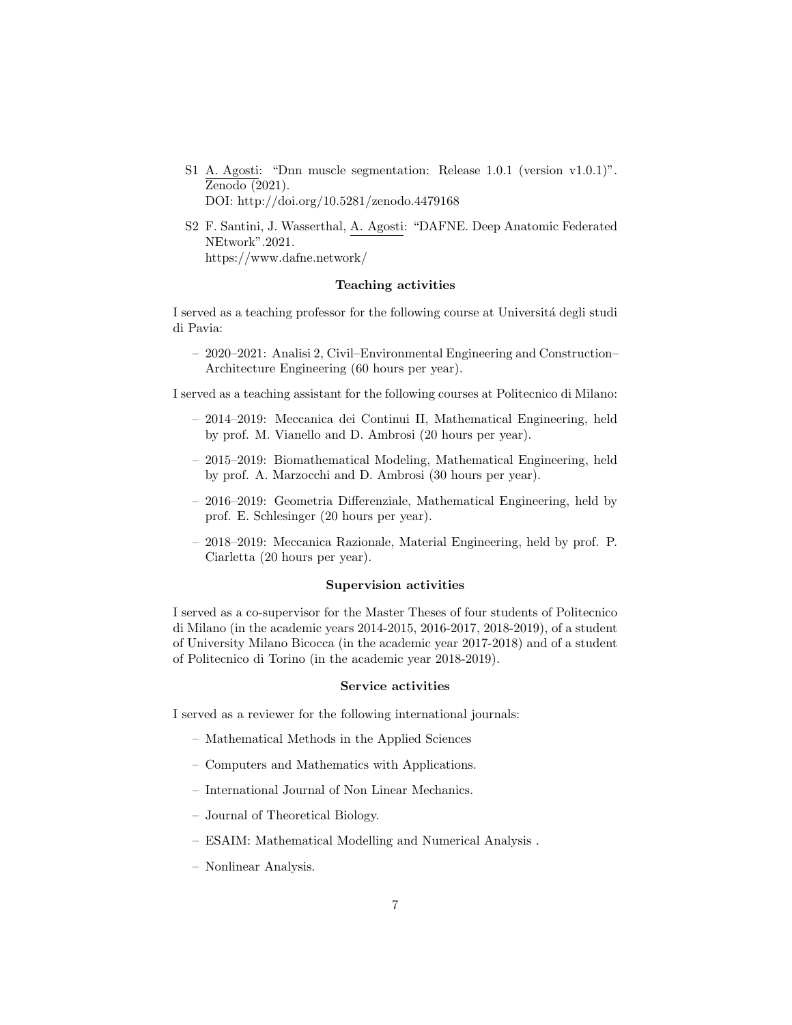- S1 A. Agosti: "Dnn muscle segmentation: Release 1.0.1 (version v1.0.1)". Zenodo (2021). DOI: http://doi.org/10.5281/zenodo.4479168
- S2 F. Santini, J. Wasserthal, A. Agosti: "DAFNE. Deep Anatomic Federated NEtwork".2021. https://www.dafne.network/

#### Teaching activities

I served as a teaching professor for the following course at Università degli studi di Pavia:

– 2020–2021: Analisi 2, Civil–Environmental Engineering and Construction– Architecture Engineering (60 hours per year).

I served as a teaching assistant for the following courses at Politecnico di Milano:

- 2014–2019: Meccanica dei Continui II, Mathematical Engineering, held by prof. M. Vianello and D. Ambrosi (20 hours per year).
- 2015–2019: Biomathematical Modeling, Mathematical Engineering, held by prof. A. Marzocchi and D. Ambrosi (30 hours per year).
- 2016–2019: Geometria Differenziale, Mathematical Engineering, held by prof. E. Schlesinger (20 hours per year).
- 2018–2019: Meccanica Razionale, Material Engineering, held by prof. P. Ciarletta (20 hours per year).

#### Supervision activities

I served as a co-supervisor for the Master Theses of four students of Politecnico di Milano (in the academic years 2014-2015, 2016-2017, 2018-2019), of a student of University Milano Bicocca (in the academic year 2017-2018) and of a student of Politecnico di Torino (in the academic year 2018-2019).

#### Service activities

I served as a reviewer for the following international journals:

- Mathematical Methods in the Applied Sciences
- Computers and Mathematics with Applications.
- International Journal of Non Linear Mechanics.
- Journal of Theoretical Biology.
- ESAIM: Mathematical Modelling and Numerical Analysis .
- Nonlinear Analysis.